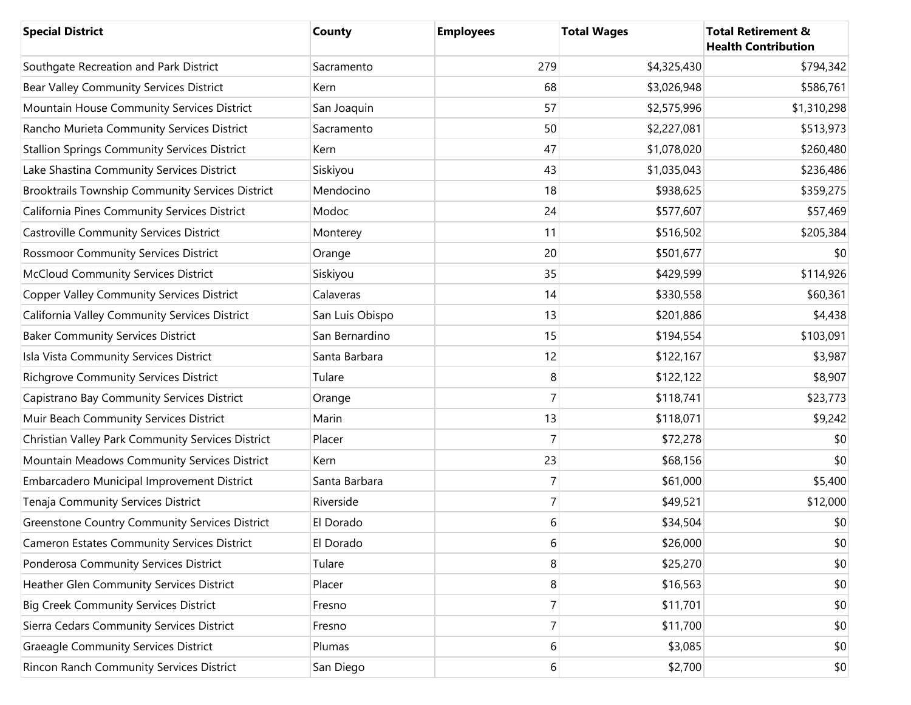| <b>Special District</b>                               | County          | <b>Employees</b> | <b>Total Wages</b> | <b>Total Retirement &amp;</b><br><b>Health Contribution</b> |
|-------------------------------------------------------|-----------------|------------------|--------------------|-------------------------------------------------------------|
| Southgate Recreation and Park District                | Sacramento      | 279              | \$4,325,430        | \$794,342                                                   |
| Bear Valley Community Services District               | Kern            | 68               | \$3,026,948        | \$586,761                                                   |
| Mountain House Community Services District            | San Joaquin     | 57               | \$2,575,996        | \$1,310,298                                                 |
| Rancho Murieta Community Services District            | Sacramento      | 50               | \$2,227,081        | \$513,973                                                   |
| <b>Stallion Springs Community Services District</b>   | Kern            | 47               | \$1,078,020        | \$260,480                                                   |
| Lake Shastina Community Services District             | Siskiyou        | 43               | \$1,035,043        | \$236,486                                                   |
| Brooktrails Township Community Services District      | Mendocino       | 18               | \$938,625          | \$359,275                                                   |
| California Pines Community Services District          | Modoc           | 24               | \$577,607          | \$57,469                                                    |
| <b>Castroville Community Services District</b>        | Monterey        | 11               | \$516,502          | \$205,384                                                   |
| <b>Rossmoor Community Services District</b>           | Orange          | 20               | \$501,677          | \$0                                                         |
| <b>McCloud Community Services District</b>            | Siskiyou        | 35               | \$429,599          | \$114,926                                                   |
| <b>Copper Valley Community Services District</b>      | Calaveras       | 14               | \$330,558          | \$60,361                                                    |
| California Valley Community Services District         | San Luis Obispo | 13               | \$201,886          | \$4,438                                                     |
| <b>Baker Community Services District</b>              | San Bernardino  | 15               | \$194,554          | \$103,091                                                   |
| Isla Vista Community Services District                | Santa Barbara   | 12               | \$122,167          | \$3,987                                                     |
| <b>Richgrove Community Services District</b>          | Tulare          | 8                | \$122,122          | \$8,907                                                     |
| Capistrano Bay Community Services District            | Orange          | $\overline{7}$   | \$118,741          | \$23,773                                                    |
| Muir Beach Community Services District                | Marin           | 13               | \$118,071          | \$9,242                                                     |
| Christian Valley Park Community Services District     | Placer          | $\overline{7}$   | \$72,278           | \$0                                                         |
| Mountain Meadows Community Services District          | Kern            | 23               | \$68,156           | \$0                                                         |
| Embarcadero Municipal Improvement District            | Santa Barbara   | $\overline{7}$   | \$61,000           | \$5,400                                                     |
| Tenaja Community Services District                    | Riverside       | $\overline{7}$   | \$49,521           | \$12,000                                                    |
| <b>Greenstone Country Community Services District</b> | El Dorado       | 6                | \$34,504           | \$0                                                         |
| Cameron Estates Community Services District           | El Dorado       | 6                | \$26,000           | \$0                                                         |
| Ponderosa Community Services District                 | Tulare          | 8                | \$25,270           | \$0                                                         |
| Heather Glen Community Services District              | Placer          | 8                | \$16,563           | \$0                                                         |
| <b>Big Creek Community Services District</b>          | Fresno          | 7                | \$11,701           | \$0                                                         |
| Sierra Cedars Community Services District             | Fresno          | 7                | \$11,700           | \$0                                                         |
| <b>Graeagle Community Services District</b>           | Plumas          | $6 \overline{6}$ | \$3,085            | \$0                                                         |
| Rincon Ranch Community Services District              | San Diego       | $6 \overline{6}$ | \$2,700            | \$0                                                         |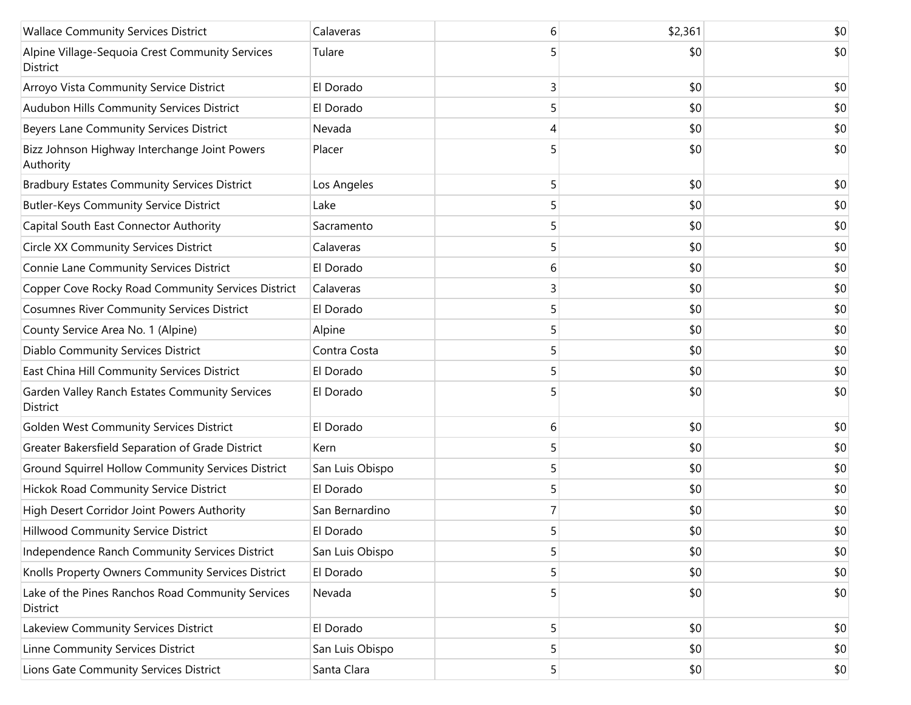| <b>Wallace Community Services District</b>                    | Calaveras       | 6              | \$2,361 | \$0 |
|---------------------------------------------------------------|-----------------|----------------|---------|-----|
| Alpine Village-Sequoia Crest Community Services<br>District   | Tulare          |                | \$0     | \$0 |
| Arroyo Vista Community Service District                       | El Dorado       | 3              | \$0     | \$0 |
| Audubon Hills Community Services District                     | El Dorado       | 5              | \$0     | \$0 |
| Beyers Lane Community Services District                       | Nevada          | 4              | \$0     | \$0 |
| Bizz Johnson Highway Interchange Joint Powers<br>Authority    | Placer          | 5              | \$0     | \$0 |
| <b>Bradbury Estates Community Services District</b>           | Los Angeles     | 5              | \$0     | \$0 |
| <b>Butler-Keys Community Service District</b>                 | Lake            | 5              | \$0     | \$0 |
| Capital South East Connector Authority                        | Sacramento      | 5              | \$0     | \$0 |
| <b>Circle XX Community Services District</b>                  | Calaveras       | 5              | \$0     | \$0 |
| Connie Lane Community Services District                       | El Dorado       | 6              | \$0     | \$0 |
| Copper Cove Rocky Road Community Services District            | Calaveras       | 3              | \$0     | \$0 |
| <b>Cosumnes River Community Services District</b>             | El Dorado       | 5              | \$0     | \$0 |
| County Service Area No. 1 (Alpine)                            | Alpine          | 5              | \$0     | \$0 |
| Diablo Community Services District                            | Contra Costa    | 5              | \$0     | \$0 |
| East China Hill Community Services District                   | El Dorado       | 5              | \$0     | \$0 |
| Garden Valley Ranch Estates Community Services<br>District    | El Dorado       |                | \$0     | \$0 |
| Golden West Community Services District                       | El Dorado       | 6              | \$0     | \$0 |
| Greater Bakersfield Separation of Grade District              | Kern            | 5              | \$0     | \$0 |
| Ground Squirrel Hollow Community Services District            | San Luis Obispo | 5              | \$0     | \$0 |
| Hickok Road Community Service District                        | El Dorado       | 5              | \$0     | \$0 |
| High Desert Corridor Joint Powers Authority                   | San Bernardino  | 7              | \$0     | \$0 |
| Hillwood Community Service District                           | El Dorado       |                | \$0     | \$0 |
| Independence Ranch Community Services District                | San Luis Obispo | 5              | \$0     | \$0 |
| Knolls Property Owners Community Services District            | El Dorado       | 5              | \$0     | \$0 |
| Lake of the Pines Ranchos Road Community Services<br>District | Nevada          | 5              | \$0     | \$0 |
| Lakeview Community Services District                          | El Dorado       | 5              | \$0     | \$0 |
| Linne Community Services District                             | San Luis Obispo | 5 <sub>l</sub> | \$0     | \$0 |
| Lions Gate Community Services District                        | Santa Clara     | 5              | \$0     | \$0 |